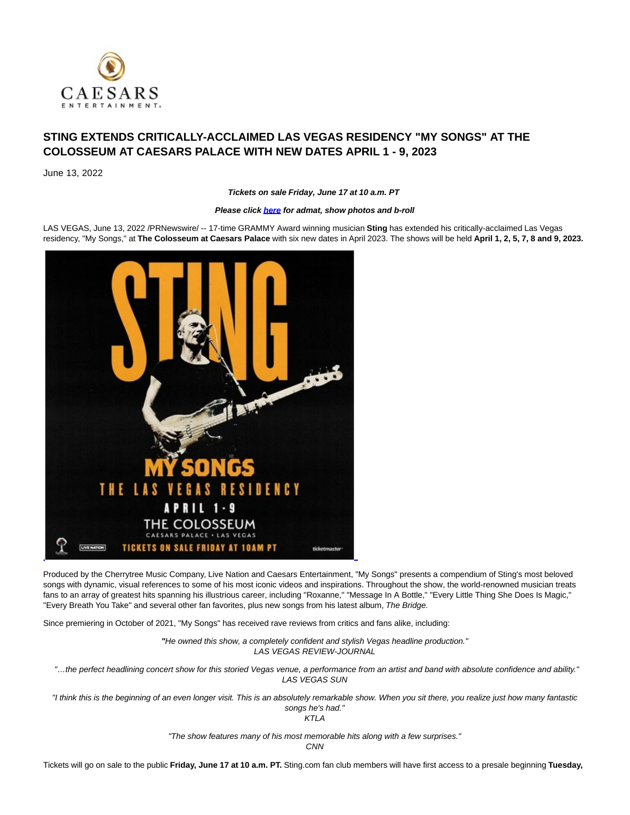

# **STING EXTENDS CRITICALLY-ACCLAIMED LAS VEGAS RESIDENCY "MY SONGS" AT THE COLOSSEUM AT CAESARS PALACE WITH NEW DATES APRIL 1 - 9, 2023**

June 13, 2022

**Tickets on sale Friday, June 17 at 10 a.m. PT**

# **Please clic[k here f](https://c212.net/c/link/?t=0&l=en&o=3564842-1&h=2146954928&u=https%3A%2F%2Fwww.dropbox.com%2Fsh%2Fyml4u01ks1k76j8%2FAADJxlMfc_Ei_3dE5wFCks5Ga%3Fdl%3D0&a=here)or admat, show photos and b-roll**

LAS VEGAS, June 13, 2022 /PRNewswire/ -- 17-time GRAMMY Award winning musician **Sting** has extended his critically-acclaimed Las Vegas residency, "My Songs," at **The Colosseum at Caesars Palace** with six new dates in April 2023. The shows will be held **April 1, 2, 5, 7, 8 and 9, 2023.**



Produced by the Cherrytree Music Company, Live Nation and Caesars Entertainment, "My Songs" presents a compendium of Sting's most beloved songs with dynamic, visual references to some of his most iconic videos and inspirations. Throughout the show, the world-renowned musician treats fans to an array of greatest hits spanning his illustrious career, including "Roxanne," "Message In A Bottle," "Every Little Thing She Does Is Magic," "Every Breath You Take" and several other fan favorites, plus new songs from his latest album, The Bridge.

Since premiering in October of 2021, "My Songs" has received rave reviews from critics and fans alike, including:

**"**He owned this show, a completely confident and stylish Vegas headline production." LAS VEGAS REVIEW-JOURNAL

"…the perfect headlining concert show for this storied Vegas venue, a performance from an artist and band with absolute confidence and ability." LAS VEGAS SUN

"I think this is the beginning of an even longer visit. This is an absolutely remarkable show. When you sit there, you realize just how many fantastic songs he's had."

KTLA

"The show features many of his most memorable hits along with a few surprises."

**CNN** 

Tickets will go on sale to the public **Friday, June 17 at 10 a.m. PT.** Sting.com fan club members will have first access to a presale beginning **Tuesday,**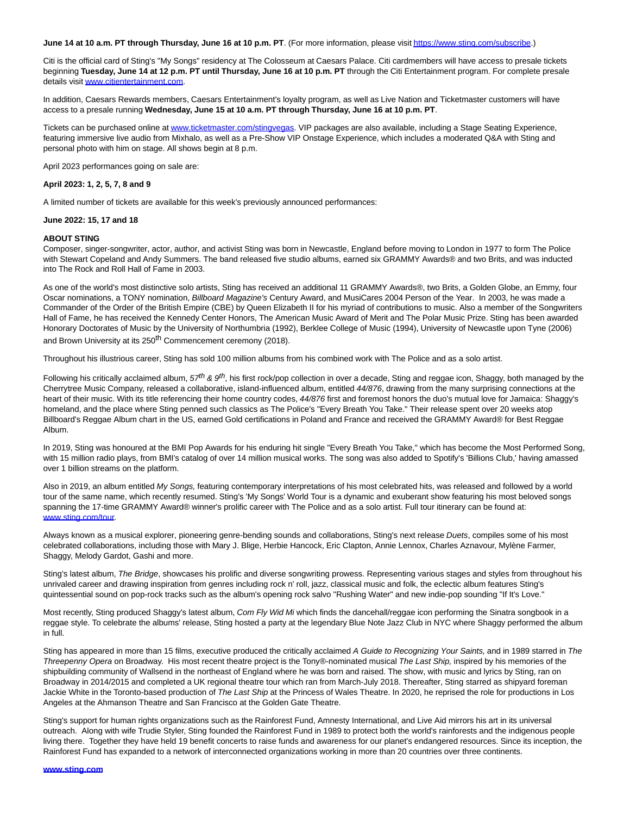#### **June 14 at 10 a.m. PT through Thursday, June 16 at 10 p.m. PT**. (For more information, please visi[t https://www.sting.com/subscribe.\)](https://c212.net/c/link/?t=0&l=en&o=3564842-1&h=1364742689&u=https%3A%2F%2Fwww.sting.com%2Fsubscribe&a=https%3A%2F%2Fwww.sting.com%2Fsubscribe)

Citi is the official card of Sting's "My Songs" residency at The Colosseum at Caesars Palace. Citi cardmembers will have access to presale tickets beginning **Tuesday, June 14 at 12 p.m. PT until Thursday, June 16 at 10 p.m. PT** through the Citi Entertainment program. For complete presale details visit [www.citientertainment.com.](https://c212.net/c/link/?t=0&l=en&o=3564842-1&h=3000532503&u=https%3A%2F%2Furldefense.com%2Fv3%2F__http%3A%2Fwww.citientertainment.com__%3B!!Jkho33Y!xLzhApfzZamBHjbxIraIK2zBhtu8kj4ApF96uROezVxRu7eGhA_aA0QxZdhxe5KS8bA%24&a=www.citientertainment.com) 

In addition, Caesars Rewards members, Caesars Entertainment's loyalty program, as well as Live Nation and Ticketmaster customers will have access to a presale running **Wednesday, June 15 at 10 a.m. PT through Thursday, June 16 at 10 p.m. PT**.

Tickets can be purchased online a[t www.ticketmaster.com/stingvegas.](https://c212.net/c/link/?t=0&l=en&o=3564842-1&h=135932093&u=http%3A%2F%2Fwww.ticketmaster.com%2Fstingvegas&a=www.ticketmaster.com%2Fstingvegas) VIP packages are also available, including a Stage Seating Experience, featuring immersive live audio from Mixhalo, as well as a Pre-Show VIP Onstage Experience, which includes a moderated Q&A with Sting and personal photo with him on stage. All shows begin at 8 p.m.

April 2023 performances going on sale are:

#### **April 2023: 1, 2, 5, 7, 8 and 9**

A limited number of tickets are available for this week's previously announced performances:

#### **June 2022: 15, 17 and 18**

#### **ABOUT STING**

Composer, singer-songwriter, actor, author, and activist Sting was born in Newcastle, England before moving to London in 1977 to form The Police with Stewart Copeland and Andy Summers. The band released five studio albums, earned six GRAMMY Awards® and two Brits, and was inducted into The Rock and Roll Hall of Fame in 2003.

As one of the world's most distinctive solo artists, Sting has received an additional 11 GRAMMY Awards®, two Brits, a Golden Globe, an Emmy, four Oscar nominations, a TONY nomination, Billboard Magazine's Century Award, and MusiCares 2004 Person of the Year. In 2003, he was made a Commander of the Order of the British Empire (CBE) by Queen Elizabeth II for his myriad of contributions to music. Also a member of the Songwriters Hall of Fame, he has received the Kennedy Center Honors, The American Music Award of Merit and The Polar Music Prize. Sting has been awarded Honorary Doctorates of Music by the University of Northumbria (1992), Berklee College of Music (1994), University of Newcastle upon Tyne (2006) and Brown University at its 250<sup>th</sup> Commencement ceremony (2018).

Throughout his illustrious career, Sting has sold 100 million albums from his combined work with The Police and as a solo artist.

Following his critically acclaimed album,  $57^{th}$  &  $9^{th}$ , his first rock/pop collection in over a decade, Sting and reggae icon, Shaggy, both managed by the Cherrytree Music Company, released a collaborative, island-influenced album, entitled 44/876, drawing from the many surprising connections at the heart of their music. With its title referencing their home country codes, 44/876 first and foremost honors the duo's mutual love for Jamaica: Shaggy's homeland, and the place where Sting penned such classics as The Police's "Every Breath You Take." Their release spent over 20 weeks atop Billboard's Reggae Album chart in the US, earned Gold certifications in Poland and France and received the GRAMMY Award® for Best Reggae Album.

In 2019, Sting was honoured at the BMI Pop Awards for his enduring hit single "Every Breath You Take," which has become the Most Performed Song, with 15 million radio plays, from BMI's catalog of over 14 million musical works. The song was also added to Spotify's 'Billions Club,' having amassed over 1 billion streams on the platform.

Also in 2019, an album entitled My Songs, featuring contemporary interpretations of his most celebrated hits, was released and followed by a world tour of the same name, which recently resumed. Sting's 'My Songs' World Tour is a dynamic and exuberant show featuring his most beloved songs spanning the 17-time GRAMMY Award® winner's prolific career with The Police and as a solo artist. Full tour itinerary can be found at: [www.sting.com/tour.](https://c212.net/c/link/?t=0&l=en&o=3564842-1&h=1900332981&u=http%3A%2F%2Fwww.sting.com%2Ftour&a=www.sting.com%2Ftour)

Always known as a musical explorer, pioneering genre-bending sounds and collaborations, Sting's next release Duets, compiles some of his most celebrated collaborations, including those with Mary J. Blige, Herbie Hancock, Eric Clapton, Annie Lennox, Charles Aznavour, Mylène Farmer, Shaggy, Melody Gardot, Gashi and more.

Sting's latest album, The Bridge, showcases his prolific and diverse songwriting prowess. Representing various stages and styles from throughout his unrivaled career and drawing inspiration from genres including rock n' roll, jazz, classical music and folk, the eclectic album features Sting's quintessential sound on pop-rock tracks such as the album's opening rock salvo "Rushing Water" and new indie-pop sounding "If It's Love."

Most recently, Sting produced Shaggy's latest album, Com Fly Wid Mi which finds the dancehall/reggae icon performing the Sinatra songbook in a reggae style. To celebrate the albums' release, Sting hosted a party at the legendary Blue Note Jazz Club in NYC where Shaggy performed the album in full.

Sting has appeared in more than 15 films, executive produced the critically acclaimed A Guide to Recognizing Your Saints, and in 1989 starred in The Threepenny Opera on Broadway. His most recent theatre project is the Tony®-nominated musical The Last Ship, inspired by his memories of the shipbuilding community of Wallsend in the northeast of England where he was born and raised. The show, with music and lyrics by Sting, ran on Broadway in 2014/2015 and completed a UK regional theatre tour which ran from March-July 2018. Thereafter, Sting starred as shipyard foreman Jackie White in the Toronto-based production of The Last Ship at the Princess of Wales Theatre. In 2020, he reprised the role for productions in Los Angeles at the Ahmanson Theatre and San Francisco at the Golden Gate Theatre.

Sting's support for human rights organizations such as the Rainforest Fund, Amnesty International, and Live Aid mirrors his art in its universal outreach. Along with wife Trudie Styler, Sting founded the Rainforest Fund in 1989 to protect both the world's rainforests and the indigenous people living there. Together they have held 19 benefit concerts to raise funds and awareness for our planet's endangered resources. Since its inception, the Rainforest Fund has expanded to a network of interconnected organizations working in more than 20 countries over three continents.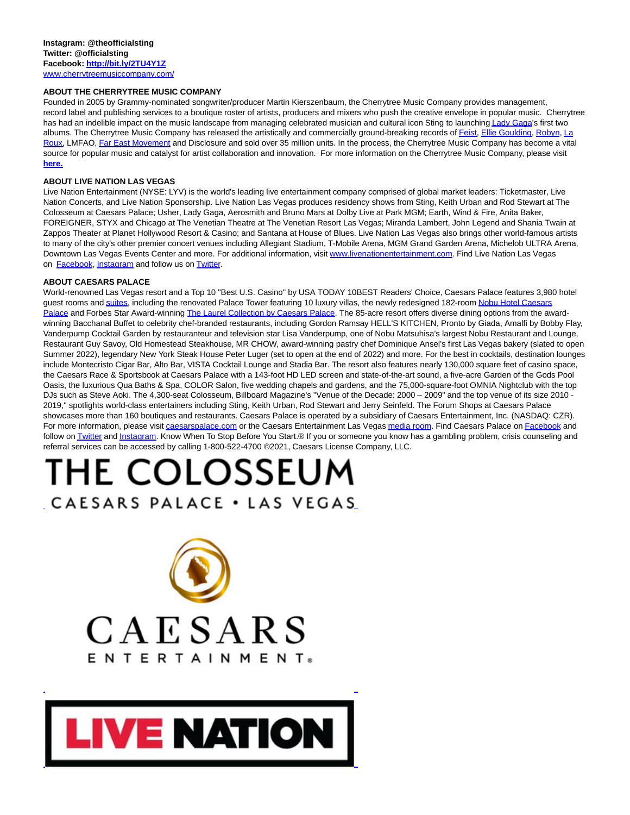# **ABOUT THE CHERRYTREE MUSIC COMPANY**

Founded in 2005 by Grammy-nominated songwriter/producer Martin Kierszenbaum, the Cherrytree Music Company provides management, record label and publishing services to a boutique roster of artists, producers and mixers who push the creative envelope in popular music. Cherrytree has had an indelible impact on the music landscape from managing celebrated musician and cultural icon Sting to launchin[g Lady Gaga's](x-apple-data-detectors://0/) first two albums. The Cherrytree Music Company has released the artistically and commercially ground-breaking records of **Feist**, [Ellie Goulding,](x-apple-data-detectors://2/) [Robyn,](x-apple-data-detectors://3/) [La](x-apple-data-detectors://4/) Roux, LMFAO[, Far East Movement a](x-apple-data-detectors://5/)nd Disclosure and sold over 35 million units. In the process, the Cherrytree Music Company has become a vital source for popular music and catalyst for artist collaboration and innovation. For more information on the Cherrytree Music Company, please visit **[here.](https://c212.net/c/link/?t=0&l=en&o=3564842-1&h=1824593654&u=https%3A%2F%2Fwww.dropbox.com%2Fs%2Fzbmdi1qdk5zoq8v%2FCherrytree%252015%2520Radio%2520Special.mp3%3Fdl%3D0&a=here.)**

# **ABOUT LIVE NATION LAS VEGAS**

Live Nation Entertainment (NYSE: LYV) is the world's leading live entertainment company comprised of global market leaders: Ticketmaster, Live Nation Concerts, and Live Nation Sponsorship. Live Nation Las Vegas produces residency shows from Sting, Keith Urban and Rod Stewart at The Colosseum at Caesars Palace; Usher, Lady Gaga, Aerosmith and Bruno Mars at Dolby Live at Park MGM; Earth, Wind & Fire, Anita Baker, FOREIGNER, STYX and Chicago at The Venetian Theatre at The Venetian Resort Las Vegas; Miranda Lambert, John Legend and Shania Twain at Zappos Theater at Planet Hollywood Resort & Casino; and Santana at House of Blues. Live Nation Las Vegas also brings other world-famous artists to many of the city's other premier concert venues including Allegiant Stadium, T-Mobile Arena, MGM Grand Garden Arena, Michelob ULTRA Arena, Downtown Las Vegas Events Center and more. For additional information, visit [www.livenationentertainment.com.](https://c212.net/c/link/?t=0&l=en&o=3564842-1&h=2805687136&u=https%3A%2F%2Fwww.livenationentertainment.com%2F&a=www.livenationentertainment.com) Find Live Nation Las Vegas on **Facebook**, [Instagram a](https://c212.net/c/link/?t=0&l=en&o=3564842-1&h=499733278&u=https%3A%2F%2Furldefense.com%2Fv3%2F__http%3A%2Flink.mediaoutreach.meltwater.com%2Fls%2Fclick%3Fupn%3DPbjIqWsNhFH50douPoqcSuPTD7YmW9KA7gfQz9nkKKvZYcXjACn3dsFwbhtC2ByGUCyKvZPDQsK-2FJ22oARlurThd0BZQmTWgup8UlY2KxA-2BXbEq-2FdJaTCM4U2rVZCnThkJTCXuLiBboIL18A3-2FraCFy7mvw9eS-2F7e59I2lUtnzYhZRV02-2BP9DiKySmBsq0o7CWufoPNsul0Xn0nmnL40sPo9k7h-2Bqkj4rSoiWkxO2UwDi6BcSPi1aLaB9aiw5jtZnz09Rb8JbLjV8HVnUBo99MHD7BkpN-2B-2F-2FzhJsINV-2BswyxU9hpxziWB9NcIobDH7xCcTEcq1Dw-2BYxrCbJtcn3qQjIWm44p9GIRYFw0bBkh-2FbVs5-2BrXFvK23BgRXI1uQwVJuapVjpnjRr8VTcjD1xh42hAcrVEg-2BikNVuXk5ZKTOCbsxqlfTTzAvA4UkvUsykzqqDx92dWx98p8pA3CrnuPZ3yBXlCtgLjfL-2BRs-2BcjnEq3L06jbsm6slo0ZRgzMoeZFpnNIb4XA4Wnvtai7fG7q9ka1R8cYNFF62Rwm2ZrZwRUawi411WljcQCBC65zvcGwBImuVydySXlSa2mDbb1jm-2BAMs6NZa65ugobrLIulIzlgg6WNZqmAqjuiIBeLKOFdpOyhBqyDnmY2oXh6cbT-2B6N9HVEMYspyMoTvGiA5osLPA5Fnd-2BxlnwK5WQL9utN68ThCBtdOObXXmjX4fXBVLP9yfJrdCJ-2FXHvWFDCUi-2Fj18kCiUKUeFD5UmJ7UPvJd1xhjrOqCtmE-2BN4Q9MjH0N0gPVoR9olFCh69mUB1uTrRNutKKA4wnYv3vr6SkHum0Z5jq93zhUOM6aAgtlugLteuT-2B7s9KPEcAIl-2FSGNBlIMtYJ6zTM3deTyvBdX0w-2FCZdwcCk96NJ1kme07WzJ7vlfn9cgoFUXer-2FQY0QCSAjxElDu5DwU2WYgfbAmL1S-2B5a5yhwkWdtABJqom74cLUiewUyRsZSEtX6F4BgtOb8JkLE1ywzhkOMxdsXaI3DZLjo-2Fc-2BZBCZ0J0sNpKA7fFytyAtZvmGkv4lRTM5Ec6J2e9Cds8j-2FfGL980QkRwUClj9VDskSj3VRHQRsi-2BbnrjtSsVc8TmunU-2BH7-2BFw4xOz9BuI0JB-2Fj4n2ebQcu6cbnxr80x1aDgSxwkpyVWUHXxs8lCoZUbGyfL2XLR-2BJn1tyC-2BfhLYSCut-2FQv8tMxNcwpztvjnb8sfEJeqkgbwV8RqDPNlEkxAP0wcZmyk3V9aA3F60ukNdRd2d97ptU2O9ivbR2hq-2FSGk2IZEZhllcNRHGHP-2FCTvyG7ZpYMLq8auo-2B1egHI1zvSWZlw5bXigzGvurI5WibV4OgiOa5RGCsPpcy9Kbab6qyUn4rI-2B-2BZPf5fyLxDFVeCP9PEkE7Kf1uXC15WkvTzUkttPN9WoSt-2BvSmTJa6BXWjt-2Fg62A0cPSY-2BZLrNOezihGxfnupK8KYp1BILRaB-2F0ToAcqtU091OvhF627WdCj0uZFtKxBOijUGLJDm0sznSL5sZLdkndP8PjOQO8tyFz3LVGmqpFOLLJ0eD3gREpGiiGE-2BlFX6kGx7yRDDpG767W4-2F2PkCrDPS7J6NM9dS8v2jjns1hteOHlgaarxSrrJiERYaZj1t-2B8DboWveXyw0w7UBsmkja6IebzzBLkS1gtqB7OLhAGXLeRWT7-2Bqkhkqfeyz3JKs2k6hKOy4jLD3S37p0kP1sH6-2FdKKYjIlEXZ39XI5-2FLzMM47K5GUIUsOx0nd5G3fWZWfTIad7CD67ix218J3vXpidmAK08340ioEKkBtszVBVwicZ1xhRamsRssb-2Frb8OOncOK55SoC9s2BVum8Z5rFOicJl96pJp01zs1Eiu&a=Instagram)nd follow us o[n Twitter.](https://c212.net/c/link/?t=0&l=en&o=3564842-1&h=1785512256&u=https%3A%2F%2Furldefense.com%2Fv3%2F__http%3A%2Flink.mediaoutreach.meltwater.com%2Fls%2Fclick%3Fupn%3DPbjIqWsNhFH50douPoqcSuPTD7YmW9KA7gfQz9nkKKvZYcXjACn3dsFwbhtC2ByGUCyKvZPDQsK-2FJ22oARlurThd0BZQmTWgup8UlY2KxA-2BXbEq-2FdJaTCM4U2rVZCnThkJTCXuLiBboIL18A3-2FraCFy7mvw9eS-2F7e59I2lUtnzYhZRV02-2BP9DiKySmBsq0o7CWufoPNsul0Xn0nmnL40sPo9k7h-2Bqkj4rSoiWkxO2UwDi6BcSPi1aLaB9aiw5jtZnz09Rb8JbLjV8HVnUBo99MHD7BkpN-2B-2F-2FzhJsINV-2BswyxU9hpxziWB9NcIobDH7xCcTEcq1Dw-2BYxrCbJtcn3qQnJOhWwBeYBuGKDtSHrgMa9LPjZ9xS173Iz7g5ZCmziITVZN3m56uNbf1N16Liqgtyx1KbmMyK9JMV197-2B9CJ3HvSrSnDz8ajsNHD7pjrVzNf5flfuTi7xnIjcXOeLMiOB0Tt-2F-2BTXtwGFSmBCAV-2FoWw45r3U9fsIPsih1UPmzWJbnTE7Vk3wcRvwcDYAKBGhjBrmwt0nKisJ59ZFLTNc3AW2a-2FzzvI4Mm-2FnrBx-2FXWcwTE5xYHKZKbGfz1AY3Dko4cyApJ0AoAtuYSAnEXBsztB9hq3un6AC7Fkx-2BczoPfEBjHL9H-2BKOjv2ZRQi-2BXpdp1aWWxe55DlsusxMmZIV8amNVwOrSQvOSR9gRiGJOAgRGdHSyOMQ5GPrBWSBHDVLAkhuWWYDkVPG-2BlFXzOuX8-2F8L-2Few9w7Tg-2BarwHuKDluN-2F6QB3mL75zUSe43aRIv29gibl4sbLXN9-2BYQ2kTvw6OrK-2BCwueQt8KI2bDy7BCbq76qJfgZD7brxWCPQCT3H5wRIG4Lje-2F6Y4vQiyGPjIa8Qar-2FDHlhvcZ1uSekcLk7PKnAS-2Fa2thIo4We7nY4ccCxtWpdi-2BRh0A4Fn1cremHya1j54A1NF2b-2FPDYFw9lmV9BCB6tTAPY-2Bzm827EMZwT1CgblBi1tABg9H22lFPNMwlUGAB9FNX9nLWUa5LLsn-2BB9sixHL3katWW1Ps-2F7BZ-2Bp2nLg9etn9RjlR4-2Fsa-2FEunk2R7JumUVsnnASzbTbb11t4tI0zl1voN1NCRUjLuPatIpo-2BMyatK0eZ7aK1dn5Qa4mD2SDv03S2mNxjlo5LNdLbenKef6nohd8uWdKjU8xfO6gMBRXs5anXYwtVji2K6y3lawXdhXBr2gOpmffVKrEj3lCyBcgPJfESj3lqwDL7O5N2qFkk3xsgoZEgIAQIECMcDWgeUakWT7LBbCXGv79DiYeAJeCj9Z1lXTjfxYTuRh-2FfZhsHd4XOwwID4LyBP-2BPPyJIWeMmbZdFdVXaa-2BYZnsjdX7gTAmrKxiC2o12QU-2BqYccX-2BP-2F8XewafuQj9k8B6teYeuyYD0nbcCjuqtJIqi1mWb-2FDgw4iuIv4LAmQGGxdfybOFxMJC5Cjwn4ESiKghO6G3y-2Fqt-2Fzz-2FDPevxDXiZSmCZbXgAUUuUdj7YVob9OALdBVWOYqKxwEXLYg-2F263mYqTo4AeKp4lDgMMuoCO3LxgKJ7b3MeSa3Z0CKdNV4jaIo6ZjEltWQfGNwhUoPSDYzmVGLaysNO-2BzZTII6-2FHSEcCM7nJWSTgo5ahsGkg9lUSIWV0ACSC-2F6UVYg1rIsp32lYEulsRBqa2bF36uVl3oCx8sOK5UCHHwujiLPRux4ToQ37de8Y4jJMSOWtkJhmhaUEfKbyD1HIOCdqWbZ-2BlObaFHjnzp8S5aZxFdIryTBzk5itFsVzwVhZLgnQC81jvBCPodCZLi4O6pb1YJB6nKNat4W9xcrV-2FXyOfcKoRYHE7B6Lft-2FV4F0RSaDq7xoo2I478zso7TzTum9BuMumbm&a=Twitter)

### **ABOUT CAESARS PALACE**

World-renowned Las Vegas resort and a Top 10 "Best U.S. Casino" by USA TODAY 10BEST Readers' Choice, Caesars Palace features 3,980 hotel guest rooms an[d suites,](https://c212.net/c/link/?t=0&l=en&o=3564842-1&h=3856418416&u=https%3A%2F%2Fwww.caesars.com%2Flas-vegas%2Fsuites&a=suites) including the renovated Palace Tower featuring 10 luxury villas, the newly redesigned 182-roo[m Nobu Hotel Caesars](https://c212.net/c/link/?t=0&l=en&o=3564842-1&h=2001561595&u=https%3A%2F%2Fwww.caesars.com%2Fnobu-caesars-palace&a=Nobu+Hotel+Caesars+Palace) Palace and Forbes Star Award-winning [The Laurel Collection by Caesars Palace.](https://c212.net/c/link/?t=0&l=en&o=3564842-1&h=1468515067&u=https%3A%2F%2Fwww.caesars.com%2Fcaesars-palace%2Fhotel&a=The+Laurel+Collection+by+Caesars+Palace) The 85-acre resort offers diverse dining options from the awardwinning Bacchanal Buffet to celebrity chef-branded restaurants, including Gordon Ramsay HELL'S KITCHEN, Pronto by Giada, Amalfi by Bobby Flay, Vanderpump Cocktail Garden by restauranteur and television star Lisa Vanderpump, one of Nobu Matsuhisa's largest Nobu Restaurant and Lounge, Restaurant Guy Savoy, Old Homestead Steakhouse, MR CHOW, award-winning pastry chef Dominique Ansel's first Las Vegas bakery (slated to open Summer 2022), legendary New York Steak House Peter Luger (set to open at the end of 2022) and more. For the best in cocktails, destination lounges include Montecristo Cigar Bar, Alto Bar, VISTA Cocktail Lounge and Stadia Bar. The resort also features nearly 130,000 square feet of casino space, the Caesars Race & Sportsbook at Caesars Palace with a 143-foot HD LED screen and state-of-the-art sound, a five-acre Garden of the Gods Pool Oasis, the luxurious Qua Baths & Spa, COLOR Salon, five wedding chapels and gardens, and the 75,000-square-foot OMNIA Nightclub with the top DJs such as Steve Aoki. The 4,300-seat Colosseum, Billboard Magazine's "Venue of the Decade: 2000 – 2009" and the top venue of its size 2010 - 2019," spotlights world-class entertainers including Sting, Keith Urban, Rod Stewart and Jerry Seinfeld. The Forum Shops at Caesars Palace showcases more than 160 boutiques and restaurants. Caesars Palace is operated by a subsidiary of Caesars Entertainment, Inc. (NASDAQ: CZR). For more information, please visi[t caesarspalace.com o](https://c212.net/c/link/?t=0&l=en&o=3564842-1&h=923288912&u=https%3A%2F%2Fwww.caesars.com%2Fcaesars-palace&a=caesarspalace.com)r the Caesars Entertainment Las Vega[s media room.](https://c212.net/c/link/?t=0&l=en&o=3564842-1&h=1440294764&u=http%3A%2F%2Fcaesars.mediaroom.com%2F&a=media+room) Find Caesars Palace o[n Facebook a](https://c212.net/c/link/?t=0&l=en&o=3564842-1&h=612398319&u=https%3A%2F%2Fwww.facebook.com%2Fcaesarspalace&a=Facebook)nd follow on **Twitter and Instagram**. Know When To Stop Before You Start.® If you or someone you know has a gambling problem, crisis counseling and referral services can be accessed by calling 1-800-522-4700 ©2021, Caesars License Company, LLC.

L

# THE COLOSSEUM CAESARSPALACE . LAS VEGAS